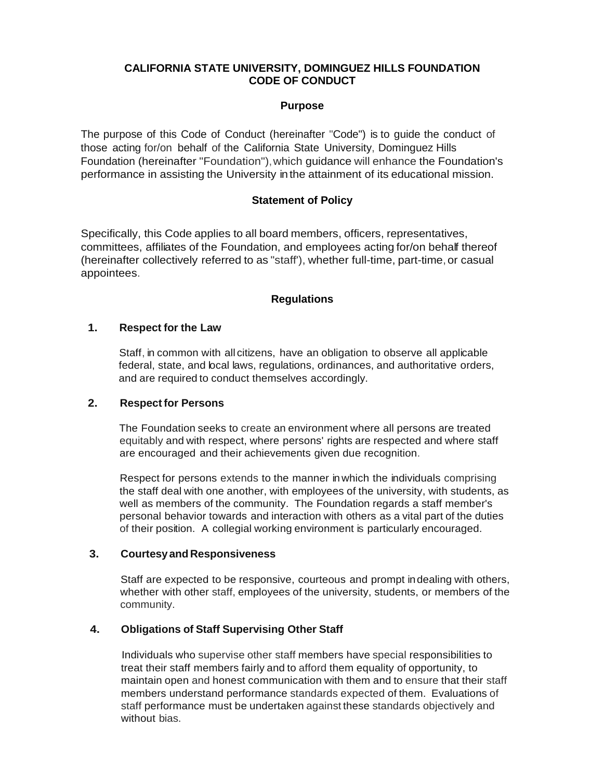#### **CALIFORNIA STATE UNIVERSITY, DOMINGUEZ HILLS FOUNDATION CODE OF CONDUCT**

#### **Purpose**

The purpose of this Code of Conduct (hereinafter "Code") is to guide the conduct of those acting for/on behalf of the California State University, Dominguez Hills Foundation (hereinafter "Foundation"),which guidance will enhance the Foundation's performance in assisting the University inthe attainment of its educational mission.

#### **Statement of Policy**

Specifically, this Code applies to all board members, officers, representatives, committees, affiliates of the Foundation, and employees acting for/on behalf thereof (hereinafter collectively referred to as "staff'), whether full-time, part-time,or casual appointees.

#### **Regulations**

#### **1. Respect for the Law**

Staff, in common with all citizens, have an obligation to observe all applicable federal, state, and local laws, regulations, ordinances, and authoritative orders, and are required to conduct themselves accordingly.

#### **2. Respect for Persons**

The Foundation seeks to create an environment where all persons are treated equitably and with respect, where persons' rights are respected and where staff are encouraged and their achievements given due recognition.

Respect for persons extends to the manner in which the individuals comprising the staff deal with one another, with employees of the university, with students, as well as members of the community. The Foundation regards a staff member's personal behavior towards and interaction with others as a vital part of the duties of their position. A collegial working environment is particularly encouraged.

#### **3. Courtesyand Responsiveness**

Staff are expected to be responsive, courteous and prompt indealing with others, whether with other staff, employees of the university, students, or members of the community.

# **4. Obligations of Staff Supervising Other Staff**

Individuals who supervise other staff members have special responsibilities to treat their staff members fairly and to afford them equality of opportunity, to maintain open and honest communication with them and to ensure that their staff members understand performance standards expected of them. Evaluations of staff performance must be undertaken against these standards objectively and without bias.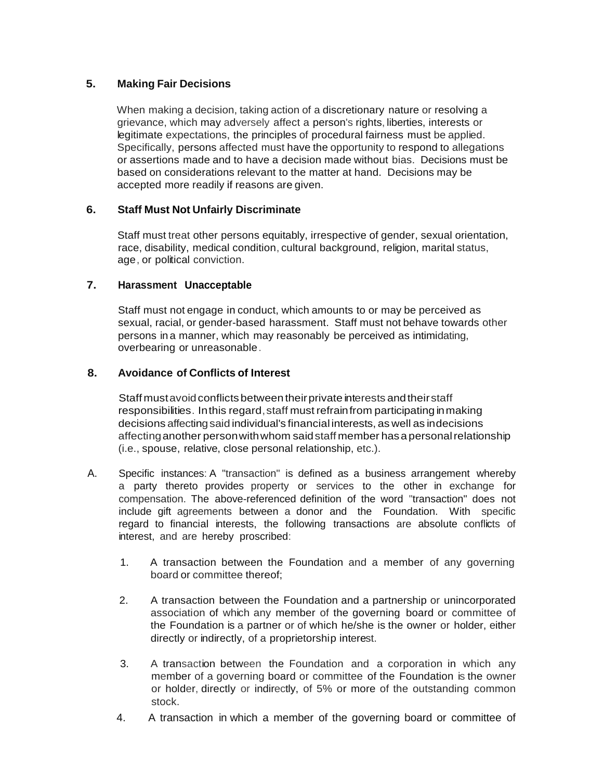# **5. Making Fair Decisions**

When making a decision, taking action of a discretionary nature or resolving a grievance, which may adversely affect a person's rights, liberties, interests or legitimate expectations, the principles of procedural fairness must be applied. Specifically, persons affected must have the opportunity to respond to allegations or assertions made and to have a decision made without bias. Decisions must be based on considerations relevant to the matter at hand. Decisions may be accepted more readily if reasons are given.

# **6. Staff Must Not Unfairly Discriminate**

Staff must treat other persons equitably, irrespective of gender, sexual orientation, race, disability, medical condition, cultural background, religion, marital status, age, or political conviction.

# **7. Harassment Unacceptable**

Staff must not engage in conduct, which amounts to or may be perceived as sexual, racial, or gender-based harassment. Staff must not behave towards other persons in a manner, which may reasonably be perceived as intimidating, overbearing or unreasonable.

# **8. Avoidance of Conflicts of Interest**

Staff must avoid conflicts between their private interests and their staff responsibilities. In this regard, staff must refrain from participating in making decisions affectingsaid individual's financial interests, as well as indecisions affectinganother personwithwhom saidstaff member hasa personalrelationship (i.e., spouse, relative, close personal relationship, etc.).

- A. Specific instances: A "transaction" is defined as a business arrangement whereby a party thereto provides property or services to the other in exchange for compensation. The above-referenced definition of the word "transaction" does not include gift agreements between a donor and the Foundation. With specific regard to financial interests, the following transactions are absolute conflicts of interest, and are hereby proscribed:
	- 1. A transaction between the Foundation and a member of any governing board or committee thereof;
	- 2. A transaction between the Foundation and a partnership or unincorporated association of which any member of the governing board or committee of the Foundation is a partner or of which he/she is the owner or holder, either directly or indirectly, of a proprietorship interest.
	- 3. A transaction between the Foundation and a corporation in which any member of a governing board or committee of the Foundation is the owner or holder, directly or indirectly, of 5% or more of the outstanding common stock.
	- 4. A transaction in which a member of the governing board or committee of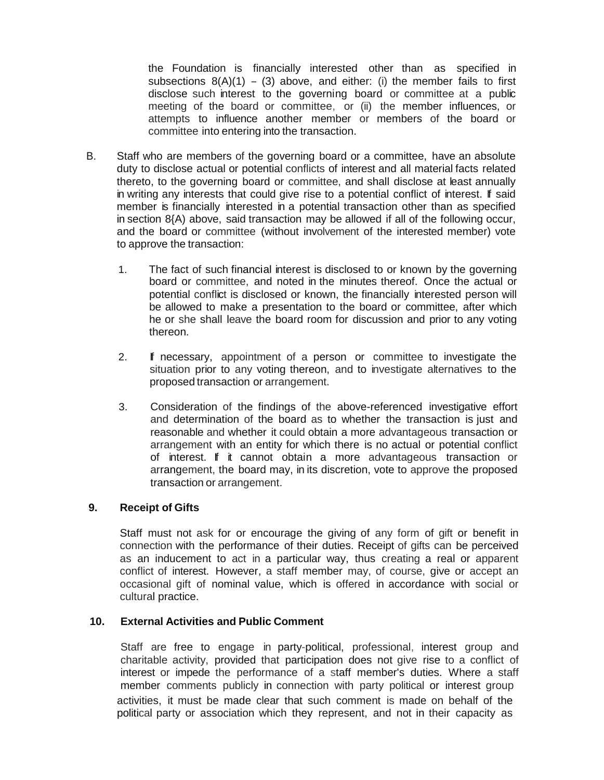the Foundation is financially interested other than as specified in subsections  $8(A)(1) - (3)$  above, and either: (i) the member fails to first disclose such interest to the governing board or committee at a public meeting of the board or committee, or (ii) the member influences, or attempts to influence another member or members of the board or committee into entering into the transaction.

- B. Staff who are members of the governing board or a committee, have an absolute duty to disclose actual or potential conflicts of interest and all material facts related thereto, to the governing board or committee, and shall disclose at least annually in writing any interests that could give rise to a potential conflict of interest. If said member is financially interested in a potential transaction other than as specified in section 8{A) above, said transaction may be allowed if all of the following occur, and the board or committee (without involvement of the interested member) vote to approve the transaction:
	- 1. The fact of such financial interest is disclosed to or known by the governing board or committee, and noted in the minutes thereof. Once the actual or potential conflict is disclosed or known, the financially interested person will be allowed to make a presentation to the board or committee, after which he or she shall leave the board room for discussion and prior to any voting thereon.
	- 2. If necessary, appointment of a person or committee to investigate the situation prior to any voting thereon, and to investigate alternatives to the proposed transaction or arrangement.
	- 3. Consideration of the findings of the above-referenced investigative effort and determination of the board as to whether the transaction is just and reasonable and whether it could obtain a more advantageous transaction or arrangement with an entity for which there is no actual or potential conflict of interest. If it cannot obtain a more advantageous transaction or arrangement, the board may, in its discretion, vote to approve the proposed transaction or arrangement.

# **9. Receipt of Gifts**

Staff must not ask for or encourage the giving of any form of gift or benefit in connection with the performance of their duties. Receipt of gifts can be perceived as an inducement to act in a particular way, thus creating a real or apparent conflict of interest. However, a staff member may, of course, give or accept an occasional gift of nominal value, which is offered in accordance with social or cultural practice.

# **10. External Activities and Public Comment**

Staff are free to engage in party-political, professional, interest group and charitable activity, provided that participation does not give rise to a conflict of interest or impede the performance of a staff member's duties. Where a staff member comments publicly in connection with party political or interest group activities, it must be made clear that such comment is made on behalf of the political party or association which they represent, and not in their capacity as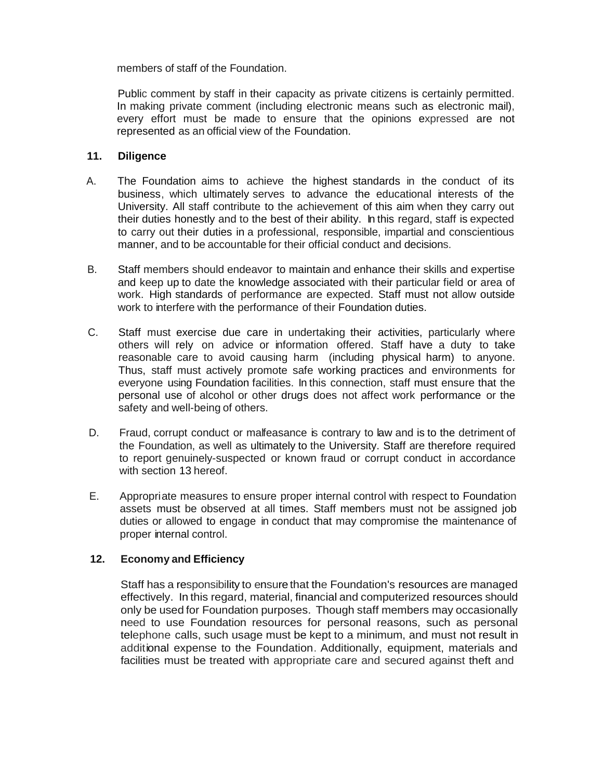members of staff of the Foundation.

Public comment by staff in their capacity as private citizens is certainly permitted. In making private comment (including electronic means such as electronic mail), every effort must be made to ensure that the opinions expressed are not represented as an official view of the Foundation.

#### **11. Diligence**

- A. The Foundation aims to achieve the highest standards in the conduct of its business, which ultimately serves to advance the educational interests of the University. All staff contribute to the achievement of this aim when they carry out their duties honestly and to the best of their ability. In this regard, staff is expected to carry out their duties in a professional, responsible, impartial and conscientious manner, and to be accountable for their official conduct and decisions.
- B. Staff members should endeavor to maintain and enhance their skills and expertise and keep up to date the knowledge associated with their particular field or area of work. High standards of performance are expected. Staff must not allow outside work to interfere with the performance of their Foundation duties.
- C. Staff must exercise due care in undertaking their activities, particularly where others will rely on advice or information offered. Staff have a duty to take reasonable care to avoid causing harm (including physical harm) to anyone. Thus, staff must actively promote safe working practices and environments for everyone using Foundation facilities. In this connection, staff must ensure that the personal use of alcohol or other drugs does not affect work performance or the safety and well-being of others.
- D. Fraud, corrupt conduct or malfeasance is contrary to law and is to the detriment of the Foundation, as well as ultimately to the University. Staff are therefore required to report genuinely-suspected or known fraud or corrupt conduct in accordance with section 13 hereof.
- E. Appropriate measures to ensure proper internal control with respect to Foundation assets must be observed at all times. Staff members must not be assigned job duties or allowed to engage in conduct that may compromise the maintenance of proper internal control.

# **12. Economy and Efficiency**

Staff has a responsibility to ensure that the Foundation's resources are managed effectively. In this regard, material, financial and computerized resources should only be used for Foundation purposes. Though staff members may occasionally need to use Foundation resources for personal reasons, such as personal telephone calls, such usage must be kept to a minimum, and must not result in additional expense to the Foundation. Additionally, equipment, materials and facilities must be treated with appropriate care and secured against theft and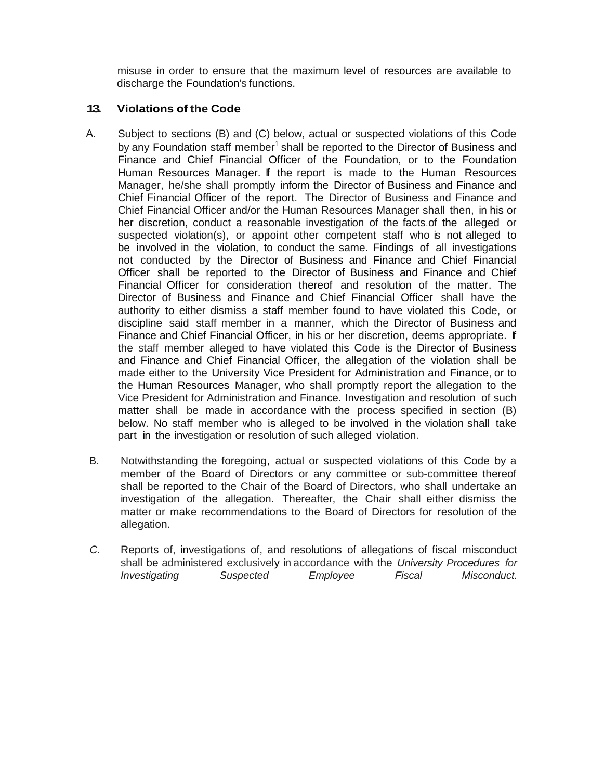misuse in order to ensure that the maximum level of resources are available to discharge the Foundation's functions.

# **13. Violations of the Code**

- A. Subject to sections (B) and (C) below, actual or suspected violations of this Code by any Foundation staff member<sup>1</sup> shall be reported to the Director of Business and Finance and Chief Financial Officer of the Foundation, or to the Foundation Human Resources Manager. If the report is made to the Human Resources Manager, he/she shall promptly inform the Director of Business and Finance and Chief Financial Officer of the report. The Director of Business and Finance and Chief Financial Officer and/or the Human Resources Manager shall then, in his or her discretion, conduct a reasonable investigation of the facts.of the alleged or suspected violation(s), or appoint other competent staff who is not alleged to be involved in the violation, to conduct the same. Findings of all investigations not conducted by the Director of Business and Finance and Chief Financial Officer shall be reported to the Director of Business and Finance and Chief Financial Officer for consideration thereof and resolution of the matter. The Director of Business and Finance and Chief Financial Officer shall have the authority to either dismiss a staff member found to have violated this Code, or discipline said staff member in a manner, which the Director of Business and Finance and Chief Financial Officer, in his or her discretion, deems appropriate. If the staff member alleged to have violated this Code is the Director of Business and Finance and Chief Financial Officer, the allegation of the violation shall be made either to the University Vice President for Administration and Finance, or to the Human Resources Manager, who shall promptly report the allegation to the Vice President for Administration and Finance. Investigation and resolution of such matter shall be made in accordance with the process specified in section (B) below. No staff member who is alleged to be involved in the violation shall take part in the investigation or resolution of such alleged violation.
- B. Notwithstanding the foregoing, actual or suspected violations of this Code by a member of the Board of Directors or any committee or sub-committee thereof shall be reported to the Chair of the Board of Directors, who shall undertake an investigation of the allegation. Thereafter, the Chair shall either dismiss the matter or make recommendations to the Board of Directors for resolution of the allegation.
- *C.* Reports of, investigations of, and resolutions of allegations of fiscal misconduct shall be administered exclusively in accordance with the *University Procedures for Investigating*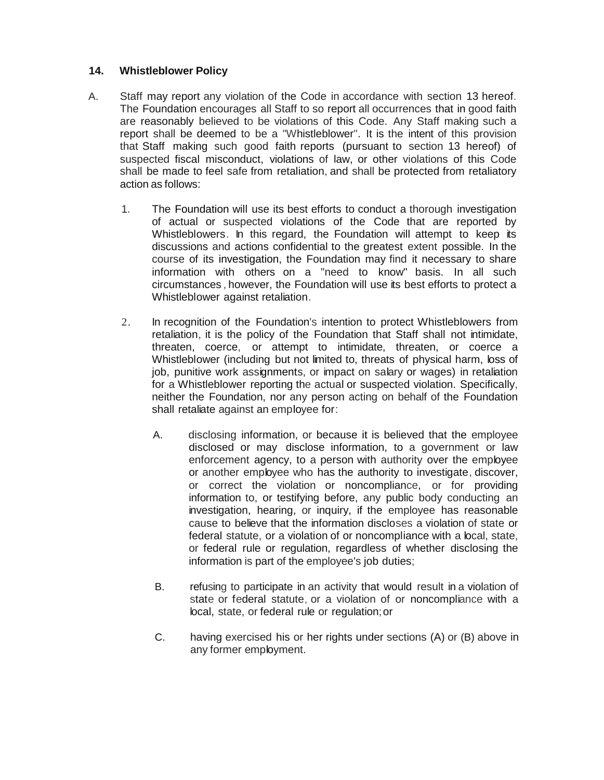# **14. Whistleblower Policy**

- A. Staff may report any violation of the Code in accordance with section 13 hereof. The Foundation encourages all Staff to so report all occurrences that in good faith are reasonably believed to be violations of this Code. Any Staff making such a report shall be deemed to be a "Whistleblower". It is the intent of this provision that Staff making such good faith reports (pursuant to section 13 hereof) of suspected fiscal misconduct, violations of law, or other violations of this Code shall be made to feel safe from retaliation, and shall be protected from retaliatory action as follows:
	- 1. The Foundation will use its best efforts to conduct a thorough investigation of actual or suspected violations of the Code that are reported by Whistleblowers. In this regard, the Foundation will attempt to keep its discussions and actions confidential to the greatest extent possible. In the course of its investigation, the Foundation may find it necessary to share information with others on a "need to know" basis. In all such circumstances , however, the Foundation will use its best efforts to protect a Whistleblower against retaliation.
	- 2. In recognition of the Foundation's intention to protect Whistleblowers from retaliation, it is the policy of the Foundation that Staff shall not intimidate, threaten, coerce, or attempt to intimidate, threaten, or coerce a Whistleblower (including but not limited to, threats of physical harm, loss of iob. punitive work assignments, or impact on salary or wages) in retaliation for a Whistleblower reporting the actual or suspected violation. Specifically, neither the Foundation, nor any person acting on behalf of the Foundation shall retaliate against an employee for:
		- A. disclosing information, or because it is believed that the employee disclosed or may disclose information, to a government or law enforcement agency, to a person with authority over the employee or another employee who has the authority to investigate, discover, or correct the violation or noncompliance, or for providing information to, or testifying before, any public body conducting an investigation, hearing, or inquiry, if the employee has reasonable cause to believe that the information discloses a violation of state or federal statute, or a violation of or noncompliance with a local, state, or federal rule or regulation, regardless of whether disclosing the information is part of the employee's job duties;
		- B. refusing to participate in an activity that would result in a violation of state or federal statute, or a violation of or noncompliance with a local, state, or federal rule or regulation;or
		- C. having exercised his or her rights under sections (A) or (B) above in any former employment.